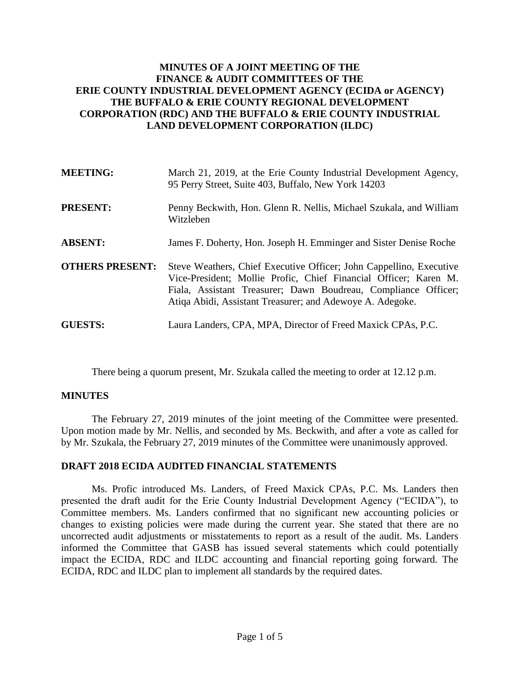# **MINUTES OF A JOINT MEETING OF THE FINANCE & AUDIT COMMITTEES OF THE ERIE COUNTY INDUSTRIAL DEVELOPMENT AGENCY (ECIDA or AGENCY) THE BUFFALO & ERIE COUNTY REGIONAL DEVELOPMENT CORPORATION (RDC) AND THE BUFFALO & ERIE COUNTY INDUSTRIAL LAND DEVELOPMENT CORPORATION (ILDC)**

| <b>MEETING:</b>        | March 21, 2019, at the Erie County Industrial Development Agency,<br>95 Perry Street, Suite 403, Buffalo, New York 14203                                                                                                                                               |
|------------------------|------------------------------------------------------------------------------------------------------------------------------------------------------------------------------------------------------------------------------------------------------------------------|
| <b>PRESENT:</b>        | Penny Beckwith, Hon. Glenn R. Nellis, Michael Szukala, and William<br>Witzleben                                                                                                                                                                                        |
| <b>ABSENT:</b>         | James F. Doherty, Hon. Joseph H. Emminger and Sister Denise Roche                                                                                                                                                                                                      |
| <b>OTHERS PRESENT:</b> | Steve Weathers, Chief Executive Officer; John Cappellino, Executive<br>Vice-President; Mollie Profic, Chief Financial Officer; Karen M.<br>Fiala, Assistant Treasurer; Dawn Boudreau, Compliance Officer;<br>Atiqa Abidi, Assistant Treasurer; and Adewoye A. Adegoke. |
| <b>GUESTS:</b>         | Laura Landers, CPA, MPA, Director of Freed Maxick CPAs, P.C.                                                                                                                                                                                                           |

There being a quorum present, Mr. Szukala called the meeting to order at 12.12 p.m.

#### **MINUTES**

The February 27, 2019 minutes of the joint meeting of the Committee were presented. Upon motion made by Mr. Nellis, and seconded by Ms. Beckwith, and after a vote as called for by Mr. Szukala, the February 27, 2019 minutes of the Committee were unanimously approved.

#### **DRAFT 2018 ECIDA AUDITED FINANCIAL STATEMENTS**

Ms. Profic introduced Ms. Landers, of Freed Maxick CPAs, P.C. Ms. Landers then presented the draft audit for the Erie County Industrial Development Agency ("ECIDA"), to Committee members. Ms. Landers confirmed that no significant new accounting policies or changes to existing policies were made during the current year. She stated that there are no uncorrected audit adjustments or misstatements to report as a result of the audit. Ms. Landers informed the Committee that GASB has issued several statements which could potentially impact the ECIDA, RDC and ILDC accounting and financial reporting going forward. The ECIDA, RDC and ILDC plan to implement all standards by the required dates.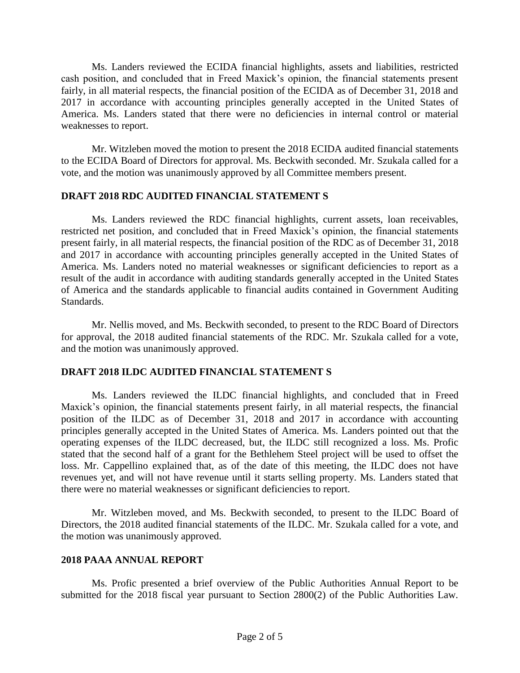Ms. Landers reviewed the ECIDA financial highlights, assets and liabilities, restricted cash position, and concluded that in Freed Maxick's opinion, the financial statements present fairly, in all material respects, the financial position of the ECIDA as of December 31, 2018 and 2017 in accordance with accounting principles generally accepted in the United States of America. Ms. Landers stated that there were no deficiencies in internal control or material weaknesses to report.

Mr. Witzleben moved the motion to present the 2018 ECIDA audited financial statements to the ECIDA Board of Directors for approval. Ms. Beckwith seconded. Mr. Szukala called for a vote, and the motion was unanimously approved by all Committee members present.

### **DRAFT 2018 RDC AUDITED FINANCIAL STATEMENT S**

Ms. Landers reviewed the RDC financial highlights, current assets, loan receivables, restricted net position, and concluded that in Freed Maxick's opinion, the financial statements present fairly, in all material respects, the financial position of the RDC as of December 31, 2018 and 2017 in accordance with accounting principles generally accepted in the United States of America. Ms. Landers noted no material weaknesses or significant deficiencies to report as a result of the audit in accordance with auditing standards generally accepted in the United States of America and the standards applicable to financial audits contained in Government Auditing Standards.

Mr. Nellis moved, and Ms. Beckwith seconded, to present to the RDC Board of Directors for approval, the 2018 audited financial statements of the RDC. Mr. Szukala called for a vote, and the motion was unanimously approved.

# **DRAFT 2018 ILDC AUDITED FINANCIAL STATEMENT S**

Ms. Landers reviewed the ILDC financial highlights, and concluded that in Freed Maxick's opinion, the financial statements present fairly, in all material respects, the financial position of the ILDC as of December 31, 2018 and 2017 in accordance with accounting principles generally accepted in the United States of America. Ms. Landers pointed out that the operating expenses of the ILDC decreased, but, the ILDC still recognized a loss. Ms. Profic stated that the second half of a grant for the Bethlehem Steel project will be used to offset the loss. Mr. Cappellino explained that, as of the date of this meeting, the ILDC does not have revenues yet, and will not have revenue until it starts selling property. Ms. Landers stated that there were no material weaknesses or significant deficiencies to report.

Mr. Witzleben moved, and Ms. Beckwith seconded, to present to the ILDC Board of Directors, the 2018 audited financial statements of the ILDC. Mr. Szukala called for a vote, and the motion was unanimously approved.

#### **2018 PAAA ANNUAL REPORT**

Ms. Profic presented a brief overview of the Public Authorities Annual Report to be submitted for the 2018 fiscal year pursuant to Section 2800(2) of the Public Authorities Law.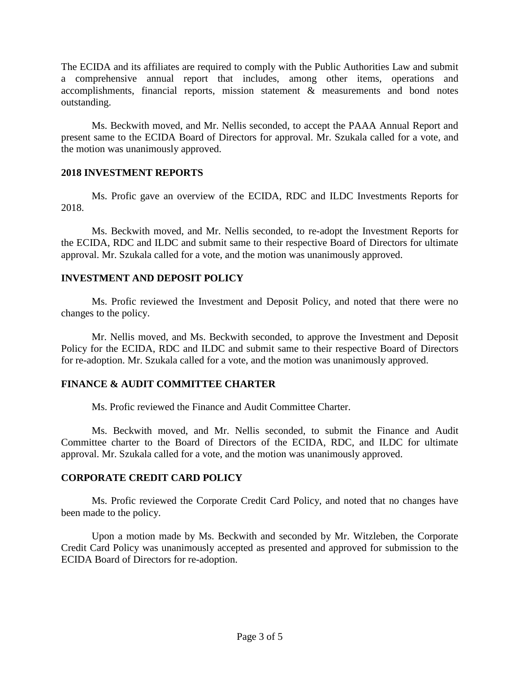The ECIDA and its affiliates are required to comply with the Public Authorities Law and submit a comprehensive annual report that includes, among other items, operations and accomplishments, financial reports, mission statement & measurements and bond notes outstanding.

Ms. Beckwith moved, and Mr. Nellis seconded, to accept the PAAA Annual Report and present same to the ECIDA Board of Directors for approval. Mr. Szukala called for a vote, and the motion was unanimously approved.

#### **2018 INVESTMENT REPORTS**

Ms. Profic gave an overview of the ECIDA, RDC and ILDC Investments Reports for 2018.

Ms. Beckwith moved, and Mr. Nellis seconded, to re-adopt the Investment Reports for the ECIDA, RDC and ILDC and submit same to their respective Board of Directors for ultimate approval. Mr. Szukala called for a vote, and the motion was unanimously approved.

# **INVESTMENT AND DEPOSIT POLICY**

Ms. Profic reviewed the Investment and Deposit Policy, and noted that there were no changes to the policy.

Mr. Nellis moved, and Ms. Beckwith seconded, to approve the Investment and Deposit Policy for the ECIDA, RDC and ILDC and submit same to their respective Board of Directors for re-adoption. Mr. Szukala called for a vote, and the motion was unanimously approved.

# **FINANCE & AUDIT COMMITTEE CHARTER**

Ms. Profic reviewed the Finance and Audit Committee Charter.

Ms. Beckwith moved, and Mr. Nellis seconded, to submit the Finance and Audit Committee charter to the Board of Directors of the ECIDA, RDC, and ILDC for ultimate approval. Mr. Szukala called for a vote, and the motion was unanimously approved.

# **CORPORATE CREDIT CARD POLICY**

Ms. Profic reviewed the Corporate Credit Card Policy, and noted that no changes have been made to the policy.

Upon a motion made by Ms. Beckwith and seconded by Mr. Witzleben, the Corporate Credit Card Policy was unanimously accepted as presented and approved for submission to the ECIDA Board of Directors for re-adoption.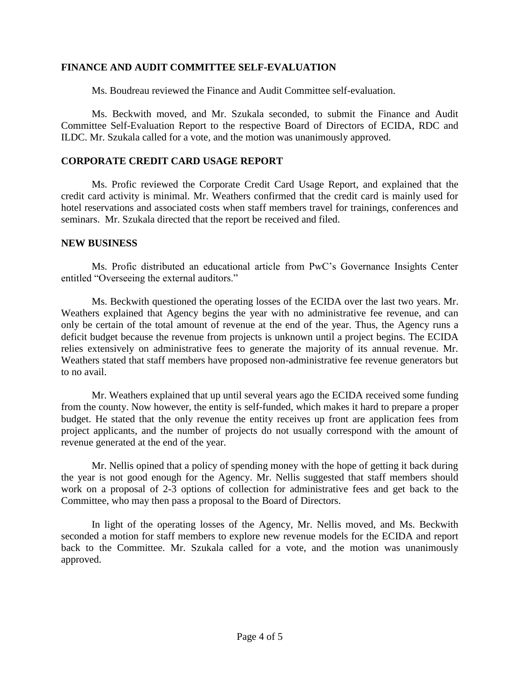### **FINANCE AND AUDIT COMMITTEE SELF-EVALUATION**

Ms. Boudreau reviewed the Finance and Audit Committee self-evaluation.

Ms. Beckwith moved, and Mr. Szukala seconded, to submit the Finance and Audit Committee Self-Evaluation Report to the respective Board of Directors of ECIDA, RDC and ILDC. Mr. Szukala called for a vote, and the motion was unanimously approved.

### **CORPORATE CREDIT CARD USAGE REPORT**

Ms. Profic reviewed the Corporate Credit Card Usage Report, and explained that the credit card activity is minimal. Mr. Weathers confirmed that the credit card is mainly used for hotel reservations and associated costs when staff members travel for trainings, conferences and seminars. Mr. Szukala directed that the report be received and filed.

#### **NEW BUSINESS**

Ms. Profic distributed an educational article from PwC's Governance Insights Center entitled "Overseeing the external auditors."

Ms. Beckwith questioned the operating losses of the ECIDA over the last two years. Mr. Weathers explained that Agency begins the year with no administrative fee revenue, and can only be certain of the total amount of revenue at the end of the year. Thus, the Agency runs a deficit budget because the revenue from projects is unknown until a project begins. The ECIDA relies extensively on administrative fees to generate the majority of its annual revenue. Mr. Weathers stated that staff members have proposed non-administrative fee revenue generators but to no avail.

Mr. Weathers explained that up until several years ago the ECIDA received some funding from the county. Now however, the entity is self-funded, which makes it hard to prepare a proper budget. He stated that the only revenue the entity receives up front are application fees from project applicants, and the number of projects do not usually correspond with the amount of revenue generated at the end of the year.

Mr. Nellis opined that a policy of spending money with the hope of getting it back during the year is not good enough for the Agency. Mr. Nellis suggested that staff members should work on a proposal of 2-3 options of collection for administrative fees and get back to the Committee, who may then pass a proposal to the Board of Directors.

In light of the operating losses of the Agency, Mr. Nellis moved, and Ms. Beckwith seconded a motion for staff members to explore new revenue models for the ECIDA and report back to the Committee. Mr. Szukala called for a vote, and the motion was unanimously approved.